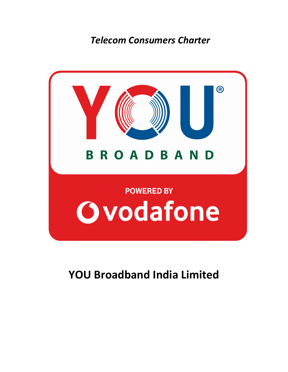*Telecom Consumers Charter*



**YOU Broadband India Limited**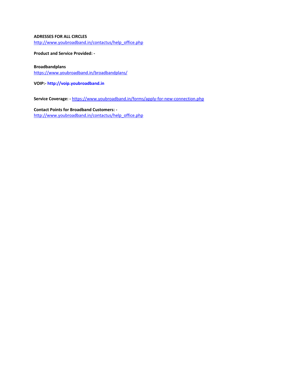### **ADRESSES FOR ALL CIRCLES**

[http://www.youbroadband.in/contactus/help\\_office.php](http://www.youbroadband.in/contactus/help_office.php)

**Product and Service Provided: -** 

#### **Broadbandplans**

[https://www.youbroadband.in/broadbandplans/](http://www.youbroadband.in/homeuser/plans.php)

**VOIP:[- http://voip.youbroadband.in](http://voip.youbroadband.in/)**

**Service Coverage: -** <https://www.youbroadband.in/forms/apply-for-new-connection.php>

**Contact Points for Broadband Customers:**  [http://www.youbroadband.in/contactus/help\\_office.php](http://www.youbroadband.in/contactus/help_office.php)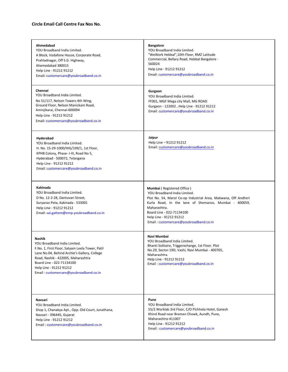### **Circle Email Call Centre Fax Nos No.**

| Ahmedabad<br>YOU Broadband India Limited.<br>A Block, Vodafone House, Corporate Road,<br>Prahladnagar, Off S.G. Highway,<br>Ahemedabad 380015<br>Help Line - 91212 91212<br>Email: customercare@youbroadband.co.in                                                                       | <b>Bangalore</b><br>YOU Broadband India Limited.<br>"WeWork Hebbal", 10th Floor, RMZ Latitude<br>Commercial, Bellary Road, Hebbal Bangalore -<br>560024<br>Help Line - 91212 91212<br>Email: customercare@youbroadband.co.in                                                                                   |
|------------------------------------------------------------------------------------------------------------------------------------------------------------------------------------------------------------------------------------------------------------------------------------------|----------------------------------------------------------------------------------------------------------------------------------------------------------------------------------------------------------------------------------------------------------------------------------------------------------------|
| Chennai<br>YOU Broadband India Limited.<br>No 51/117, Nelson Towers 4th Wing,<br>Ground Floor, Nelson Manickam Road,<br>Aminjikarai, Chennai-600094<br>Help Line - 91212 91212<br>Email: customercare@youbroadband.co.in                                                                 | Gurgaon<br>YOU Broadband India Limited.<br>FF001, MGF Mega city Mall, MG ROAD<br>Gurgaon - 122002, Help Line - 91212 91212<br>Email: customercare@youbroadband.co.in                                                                                                                                           |
| Hyderabad<br>YOU Broadband India Limited.<br>H. No. 15-29-1000/HIG/199/1, 1st Floor,<br>KPHB Colony, Phase-I-III, Road No 5,<br>Hyderabad - 500072, Telangana<br>Help Line - 91212 91212<br>Email: customercare@youbroadband.co.in                                                       | Jaipur<br>Help Line - 91212 91212<br>Email: customercare@youbroadband.co.in                                                                                                                                                                                                                                    |
| Kakinada<br>YOU Broadband India Limited.<br>D No. 12-2-28, Dantuvari Street,<br>Suryarao Peta, Kakinada - 533001<br>Help Line - 91212 91212<br>Email: sai.gattem@emp.youbroadband.co.in                                                                                                  | <b>Mumbai</b> (Registered Office)<br>YOU Broadband India Limited.<br>Plot No. 54, Marol Co-op Industrial Area, Makwana, Off Andheri<br>Kurla Road, In the lane of Shemaroo, Mumbai - 400059,<br>Maharashtra.<br>Board Line - 022-71134100<br>Help Line - 91212 91212<br>Email: customercare@youbroadband.co.in |
| <b>Nashik</b><br>YOU Broadband India Limited.<br>F.No. 1, First Floor, Satyam Leela Tower, Patil<br>Lane No.04, Behind Archie's Gallery, College<br>Road, Nashik - 422005, Maharashtra<br>Board Line - 022-71134100<br>Help Line - 91212 91212<br>Email: customercare@youbroadband.co.in | Navi Mumbai<br>YOU Broadband India Limited.<br>Bhanti Solitaire, Triggerxchange, 1st Floor. Plot<br>No.29, Sector-19D, Vashi, Navi Mumbai - 400705,<br>Maharashtra.<br>Help Line - 91212 91212<br>Email: customercare@youbroadband.co.in                                                                       |
| Navsari<br>YOU Broadband India Limited.<br>Shop 1, Chanakya Apt., Opp. Old Court, Junathana,<br>Navsari - 396445, Gujarat<br>Help Line - 91212 91212<br>Email: customercare@youbroadband.co.in                                                                                           | Pune<br>YOU Broadband India Limited.<br>55/2 Worklab 3rd Floor, C/O Pichhola Hotel, Ganesh<br>Khind Road near Bremen Chowk, Aundh, Pune,<br>Maharashtra-411007<br>Help Line - 91212 91212<br>Email: customercare@youbroadband.co.in                                                                            |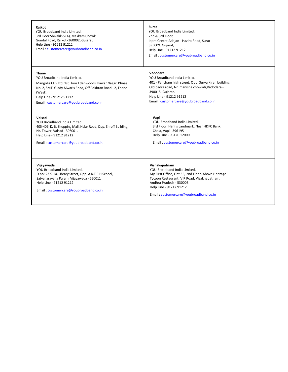| Rajkot<br>YOU Broadband India Limited.<br>3rd Floor Shivalik-5 (A), Makkam Chowk,<br>Gondal Road, Rajkot -360002, Gujarat<br>Help Line - 91212 91212<br>Email: customercare@youbroadband.co.in                       | Surat<br>YOU Broadband India Limited.<br>2nd & 3rd Floor,<br>Igara Centre, Adajan - Hazira Road, Surat -<br>395009. Gujarat,<br>Help Line - 91212 91212<br>Email: customercare@youbroadband.co.in                                                   |
|----------------------------------------------------------------------------------------------------------------------------------------------------------------------------------------------------------------------|-----------------------------------------------------------------------------------------------------------------------------------------------------------------------------------------------------------------------------------------------------|
| <b>Thane</b>                                                                                                                                                                                                         | Vadodara                                                                                                                                                                                                                                            |
| YOU Broadband India Limited.                                                                                                                                                                                         | YOU Broadband India Limited.                                                                                                                                                                                                                        |
| Mangolia CHS Ltd, 1st Floor Edenwoods, Pawar Nagar, Phase                                                                                                                                                            | 401 - Pancham high street, Opp. Surya Kiran building,                                                                                                                                                                                               |
| No. 2, SMT, Glady Alwaris Road, Off Pokhran Road - 2, Thane                                                                                                                                                          | Old padra road, Nr. manisha chowkdi, Vadodara -                                                                                                                                                                                                     |
| (West).                                                                                                                                                                                                              | 390015, Gujarat.                                                                                                                                                                                                                                    |
| Help Line - 91212 91212                                                                                                                                                                                              | Help Line - 91212 91212                                                                                                                                                                                                                             |
| Email: customercare@youbroadband.co.in                                                                                                                                                                               | Email: customercare@youbroadband.co.in                                                                                                                                                                                                              |
| Valsad                                                                                                                                                                                                               | Vapi                                                                                                                                                                                                                                                |
| YOU Broadband India Limited.                                                                                                                                                                                         | YOU Broadband India Limited.                                                                                                                                                                                                                        |
| 405-406, K. B. Shopping Mall, Halar Road, Opp. Shroff Building,                                                                                                                                                      | 3rd Floor, Hani's Landmark, Near HDFC Bank,                                                                                                                                                                                                         |
| Nr. Tower, Valsad - 396001.                                                                                                                                                                                          | Chala, Vapi - 396195                                                                                                                                                                                                                                |
| Help Line - 91212 91212                                                                                                                                                                                              | Help Line - 95120 12000                                                                                                                                                                                                                             |
| Email: customercare@youbroadband.co.in                                                                                                                                                                               | Email: customercare@youbroadband.co.in                                                                                                                                                                                                              |
| Vijayawada<br>YOU Broadband India Limited.<br>D no: 23-9-14, Library Street, Opp. A.K.T.P.H School,<br>Satyanarayana Puram, Vijayawada - 520011<br>Help Line - 91212 91212<br>Email: customercare@youbroadband.co.in | Vishakapatnam<br>YOU Broadband India Limited.<br>My First Office, Flat 3B, 2nd Floor, Above Heritage<br>Tycoon Restaurant, VIP Road, Visakhapatnam,<br>Andhra Pradesh - 530003<br>Help Line - 91212 91212<br>Email: customercare@youbroadband.co.in |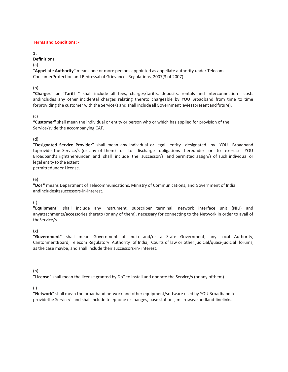#### **Terms and Conditions: -**

**1.**

### **Definitions**

(a)

"**Appellate Authority"** means one or more persons appointed as appellate authority under Telecom ConsumerProtection and Redressal of Grievances Regulations, 2007(3 of 2007).

(b)

**"Charges" or "Tariff "** shall include all fees, charges/tariffs, deposits, rentals and interconnection costs andincludes any other incidental charges relating thereto chargeable by YOU Broadband from time to time forproviding the customer with the Service/s and shall include all Government levies (present and future).

## (c)

**"Customer"** shall mean the individual or entity or person who or which has applied for provision of the Service/svide the accompanying CAF.

## (d)

**"Designated Service Provider"** shall mean any individual or legal entity designated by YOU Broadband toprovide the Service/s (or any of them) or to discharge obligations hereunder or to exercise YOU Broadband's rightshereunder and shall include the successor/s and permitted assign/s of such individual or legal entity to the extent permittedunder License.

(e)

**"DoT"** means Department of Telecommunications, Ministry of Communications, and Government of India andincludesitssuccessors-in-interest.

# (f)

**"Equipment"** shall include any instrument, subscriber terminal, network interface unit (NIU) and anyattachments/accessories thereto (or any of them), necessary for connecting to the Network in order to avail of theService/s.

(g)

**"Government"** shall mean Government of India and/or a State Government, any Local Authority, CantonmentBoard, Telecom Regulatory Authority of India, Courts of law or other judicial/quasi-judicial forums, as the case maybe, and shall include their successors-in- interest.

## (h)

**"License"** shall mean the license granted by DoT to install and operate the Service/s (or any ofthem).

(i)

**"Network"** shall mean the broadband network and other equipment/software used by YOU Broadband to providethe Service/s and shall include telephone exchanges, base stations, microwave andland-linelinks.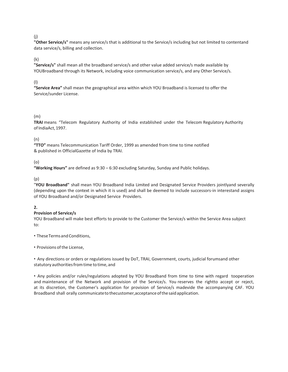### (j)

**"Other Service/s"** means any service/s that is additional to the Service/s including but not limited to contentand data service/s, billing and collection.

### (k)

**"Service/s"** shall mean all the broadband service/s and other value added service/s made available by YOUBroadband through its Network, including voice communication service/s, and any Other Service/s.

### (l)

**"Service Area"** shall mean the geographical area within which YOU Broadband is licensed to offer the Service/sunder License.

## (m)

**TRAI** means "Telecom Regulatory Authority of India established under the Telecom Regulatory Authority of IndiaAct, 1997.

## (n)

**"TTO"** means Telecommunication Tariff Order, 1999 as amended from time to time notified & published in OfficialGazette of India by TRAI.

## (o)

**"Working Hours"** are defined as 9:30 – 6:30 excluding Saturday, Sunday and Public holidays.

## (p)

"**YOU Broadband"** shall mean YOU Broadband India Limited and Designated Service Providers jointlyand severally (depending upon the context in which it is used) and shall be deemed to include successors-in interestand assigns of YOU Broadband and/or Designated Service Providers.

## **2.**

## **Provision of Service/s**

YOU Broadband will make best efforts to provide to the Customer the Service/s within the Service Area subject to:

• These Terms and Conditions,

• Provisions of the License,

• Any directions or orders or regulations issued by DoT, TRAI, Government, courts, judicial forumsand other statutory authorities from time to time, and

• Any policies and/or rules/regulations adopted by YOU Broadband from time to time with regard tooperation and maintenance of the Network and provision of the Service/s. You reserves the rightto accept or reject, at its discretion, the Customer's application for provision of Service/s madevide the accompanying CAF. YOU Broadband shall orally communicate to thecustomer,acceptance of the said application.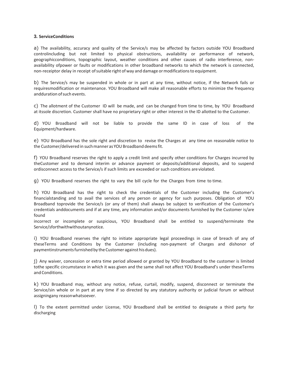#### **3. ServiceConditions**

a) The availability, accuracy and quality of the Service/s may be affected by factors outside YOU Broadband controlincluding but not limited to physical obstructions, availability or performance of network, geographicconditions, topographic layout, weather conditions and other causes of radio interference, nonavailability ofpower or faults or modifications in other broadband networks to which the network is connected, non-receiptor delay in receipt of suitable right of way and damage or modifications to equipment.

b) The Service/s may be suspended in whole or in part at any time, without notice, if the Network fails or requiresmodification or maintenance. YOU Broadband will make all reasonable efforts to minimize the frequency andduration of such events.

c) The allotment of the Customer ID will be made, and can be changed from time to time, by YOU Broadband at itssole discretion. Customer shall have no proprietary right or other interest in the ID allotted to the Customer.

d) YOU Broadband will not be liable to provide the same ID in case of loss of the Equipment/hardware.

e) YOU Broadband has the sole right and discretion to revise the Charges at any time on reasonable notice to the Customer/delivered in such manner as YOU Broadband deems fit.

f) YOU Broadband reserves the right to apply a credit limit and specify other conditions for Charges incurred by theCustomer and to demand interim or advance payment or deposits/additional deposits, and to suspend ordisconnect access to the Service/s if such limits are exceeded or such conditions are violated.

g) YOU Broadband reserves the right to vary the bill cycle for the Charges from time to time.

h) YOU Broadband has the right to check the credentials of the Customer including the Customer's financialstanding and to avail the services of any person or agency for such purposes. Obligation of YOU Broadband toprovide the Service/s (or any of them) shall always be subject to verification of the Customer's credentials anddocuments and if at any time, any information and/or documents furnished by the Customer is/are found

incorrect or incomplete or suspicious, YOU Broadband shall be entitled to suspend/terminate the Service/sforthwithwithoutanynotice.

i) YOU Broadband reserves the right to initiate appropriate legal proceedings in case of breach of any of theseTerms and Conditions by the Customer (including non-payment of Charges and dishonor of paymentinstruments furnished by the Customer against his dues).

j) Any waiver, concession or extra time period allowed or granted by YOU Broadband to the customer is limited tothe specific circumstance in which it was given and the same shall not affect YOU Broadband's under theseTerms and Conditions.

k) YOU Broadband may, without any notice, refuse, curtail, modify, suspend, disconnect or terminate the Service/sin whole or in part at any time if so directed by any statutory authority or judicial forum or without assigningany reason whatsoever.

l) To the extent permitted under License, YOU Broadband shall be entitled to designate a third party for discharging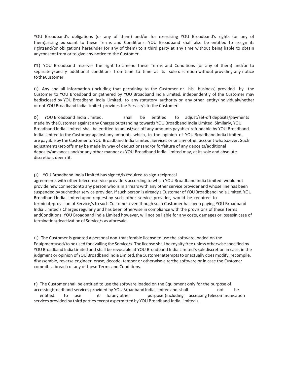YOU Broadband's obligations (or any of them) and/or for exercising YOU Broadband's rights (or any of them)arising pursuant to these Terms and Conditions. YOU Broadband shall also be entitled to assign its rightsand/or obligations hereunder (or any of them) to a third party at any time without being liable to obtain anyconsent from or to give any notice to the Customer.

m) YOU Broadband reserves the right to amend these Terms and Conditions (or any of them) and/or to separatelyspecify additional conditions from time to time at its sole discretion without providing any notice to theCustomer.

n) Any and all information (including that pertaining to the Customer or his business) provided by the Customer to YOU Broadband or gathered by YOU Broadband India Limited. independently of the Customer may bedisclosed by YOU Broadband India Limited. to any statutory authority or any other entity/individualwhether or not YOU Broadband India Limited. provides the Service/s to the Customer.

o) YOU Broadband India Limited. shall be entitled to adjust/set-off deposits/payments made by theCustomer against any Charges outstanding towards YOU Broadband India Limited. Similarly, YOU Broadband India Limited. shall be entitled to adjust/set-off any amounts payable/ refundable by YOU Broadband India Limited to the Customer against any amounts which, in the opinion of YOU Broadband India Limited , are payable by the Customer to YOU Broadband India Limited. Services or on any other account whatsoever. Such adjustments/set-offs may be made by way of deductionsand/or forfeiture of any deposits/additional deposits/advances and/or any other manner as YOU Broadband India Limited may, at its sole and absolute discretion, deem fit.

#### p) YOU Broadband India Limited has signed/is required to sign reciprocal

agreements with other telecomservice providers according to which YOU Broadband India Limited. would not provide new connectionto any person who is in arrears with any other service provider and whose line has been suspended by suchother service provider. If such person is already a Customer of YOU Broadband India Limited, YOU Broadband India Limited upon request by such other service provider, would be required to terminateprovision of Service/s to such Customer even though such Customer has been paying YOU Broadband India Limited's Charges regularly and has been otherwise in compliance with the provisions of these Terms andConditions. YOU Broadband India Limited however, will not be liable for any costs, damages or lossesin case of termination/deactivation of Service/s as aforesaid.

q) The Customer is granted a personal non-transferable license to use the software loaded on the Equipmentused/to be used for availing the Service/s. The license shall be royalty free unless otherwise specified by YOU Broadband India Limited and shall be revocable at YOU Broadband India Limited's solediscretion in case, in the judgment or opinion of YOU Broadband India Limited, the Customer attempts to or actually does modify, recompile, disassemble, reverse engineer, erase, decode, temper or otherwise alterthe software or in case the Customer commits a breach of any of these Terms and Conditions.

r) The Customer shall be entitled to use the software loaded on the Equipment only for the purpose of accessingbroadband services provided by YOU Broadband India Limited and shall not be entitled to use it forany other purpose (including accessing telecommunication services provided by third parties except aspermitted by YOU Broadband India Limited ).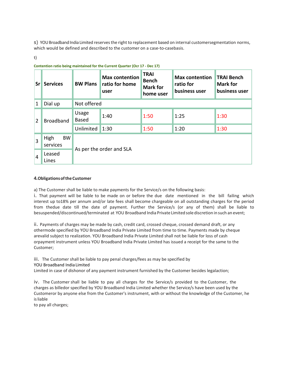s) YOU Broadband India Limited reserves the right to replacement based on internal customersegmentation norms, which would be defined and described to the customer on a case-to-casebasis.

t)

| <b>Srl</b>     | <b>Services</b>               | <b>BW Plans</b>          | <b>Max contention</b><br>ratio for home<br>user | <b>TRAI</b><br><b>Bench</b><br><b>Mark for</b><br>home user | <b>Max contention</b><br>ratio for<br>business user | <b>TRAI Bench</b><br><b>Mark for</b><br>business user |  |
|----------------|-------------------------------|--------------------------|-------------------------------------------------|-------------------------------------------------------------|-----------------------------------------------------|-------------------------------------------------------|--|
| 1              | Dial up                       | Not offered              |                                                 |                                                             |                                                     |                                                       |  |
| $\overline{2}$ | <b>Broadband</b>              | Usage<br><b>Based</b>    | 1:40                                            | 1:50                                                        | 1:25                                                | 1:30                                                  |  |
|                |                               | Unlimited                | 1:30                                            | 1:50                                                        | 1:20                                                | 1:30                                                  |  |
| 3              | <b>BW</b><br>High<br>services | As per the order and SLA |                                                 |                                                             |                                                     |                                                       |  |
| $\overline{4}$ | Leased<br>Lines               |                          |                                                 |                                                             |                                                     |                                                       |  |

#### **Contention ratio being maintained for the Current Quarter (Ocr 17 - Dec 17)**

### **4.Obligations of the Customer**

a) The Customer shall be liable to make payments for the Service/s on the following basis:

i. That payment will be liable to be made on or before the due date mentioned in the bill failing which interest up to18% per annum and/or late fees shall become chargeable on all outstanding charges for the period from thedue date till the date of payment. Further the Service/s (or any of them) shall be liable to besuspended/discontinued/terminated at YOU Broadband India Private Limited sole discretion in such an event;

ii. Payments of charges may be made by cash, credit card, crossed cheque, crossed demand draft, or any othermode specified by YOU Broadband India Private Limited from time to time. Payments made by cheque arevalid subject to realization. YOU Broadband India Private Limited shall not be liable for loss of cash orpayment instrument unless YOU Broadband India Private Limited has issued a receipt for the same to the Customer;

#### iii. The Customer shall be liable to pay penal charges/fees as may be specified by YOU Broadband India Limited

Limited in case of dishonor of any payment instrument furnished by the Customer besides legalaction;

iv. The Customer shall be liable to pay all charges for the Service/s provided to the Customer, the charges as billedor specified by YOU Broadband India Limited whether the Service/s have been used by the Customeror by anyone else from the Customer's instrument, with or without the knowledge of the Customer, he is liable

to pay all charges;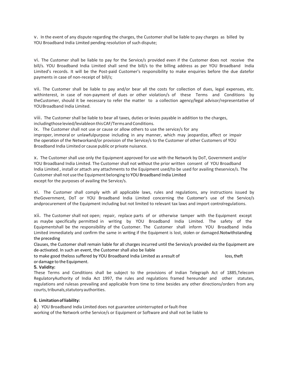v. In the event of any dispute regarding the charges, the Customer shall be liable to pay charges as billed by YOU Broadband India Limited pending resolution of such dispute;

vi. The Customer shall be liable to pay for the Service/s provided even if the Customer does not receive the bill/s. YOU Broadband India Limited shall send the bill/s to the billing address as per YOU Broadband India Limited's records. It will be the Post-paid Customer's responsibility to make enquiries before the due datefor payments in case of non-receipt of bill/s;

vii. The Customer shall be liable to pay and/or bear all the costs for collection of dues, legal expenses, etc. withinterest, in case of non-payment of dues or other violation/s of these Terms and Conditions by theCustomer, should it be necessary to refer the matter to a collection agency/legal advisor/representative of YOU Broadband India Limited.

viii. The Customer shall be liable to bear all taxes, duties or levies payable in addition to the charges,

includingthose levied/leviableon this CAF/Terms and Conditions.

ix. The Customer shall not use or cause or allow others to use the service/s for any improper, immoral or unlawfulpurpose including in any manner, which may jeopardize, affect or impair the operation of the Networkand/or provision of the Service/s to the Customer of other Customers of YOU Broadband India Limited or cause public or private nuisance.

x. The Customer shall use only the Equipment approved for use with the Network by DoT, Government and/or YOU Broadband India Limited. The Customer shall not without the prior written consent of YOU Broadband India Limited , install or attach any attachments to the Equipment used/to be used for availing theservice/s. The Customer shall not use the Equipment belonging to YOU Broadband India Limited except for the purposes of availing the Service/s.

xi. The Customer shall comply with all applicable laws, rules and regulations, any instructions issued by theGovernment, DoT or YOU Broadband India Limited concerning the Customer's use of the Service/s andprocurement of the Equipment including but not limited to relevant tax laws and import control regulations.

xii. The Customer shall not open; repair, replace parts of or otherwise tamper with the Equipment except as maybe specifically permitted in writing by YOU Broadband India Limited. The safety of the Equipmentshall be the responsibility of the Customer. The Customer shall inform YOU Broadband India Limited immediately and confirm the same in writing if the Equipment is lost, stolen or damaged.Notwithstanding the preceding

Clauses, the Customer shall remain liable for all charges incurred until the Service/s provided via the Equipment are de-activated. In such an event, the Customer shall also be liable

to make good theloss suffered by YOU Broadband India Limited as a result of loss, theft or damage to the Equipment.

### **5. Validity:**

These Terms and Conditions shall be subject to the provisions of Indian Telegraph Act of 1885,Telecom RegulatoryAuthority of India Act 1997, the rules and regulations framed hereunder and other statutes, regulations and rulesas prevailing and applicable from time to time besides any other directions/orders from any courts, tribunals,statutory authorities.

### **6. Limitation of liability:**

a) YOU Broadband India Limited does not guarantee uninterrupted or fault-free working of the Network orthe Service/s or Equipment or Software and shall not be liable to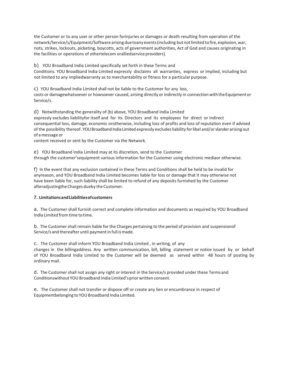the Customer or to any user or other person forinjuries or damages or death resulting from operation of the network/Service/s/Equipment/Software arising due toany events (including but not limited to fire, explosion, war, riots, strikes, lockouts, picketing, boycotts, acts of government authorities, Act of God and causes originating in the facilities or operations of othertelecom oralliedservice providers).

b) YOU Broadband India Limited specifically set forth in these Terms and

Conditions. YOU Broadband India Limited expressly disclaims all warranties, express or implied, including but not limited to any impliedwarranty as to merchantability or fitness for a particular purpose.

c) YOU Broadband India Limited shall not be liable to the Customer for any loss,

costs or damagewhatsoever or howsoever caused, arising directly or indirectly in connection with the Equipment or Service/s.

d) Notwithstanding the generality of (b) above, YOU Broadband India Limited

expressly excludes liabilityfor itself and for its Directors and its employees for direct or indirect consequential loss, damage, economic orotherwise, including loss of profits and loss of reputation even if advised of the possibility thereof. YOU Broadband India Limited expressly excludes liability for libel and/or slander arising out of a message or

content received or sent by the Customer via the Network.

e) YOU Broadband India Limited may at its discretion, send to the Customer through the customer'sequipment various information for the Customer using electronic mediaor otherwise.

f) In the event that any exclusion contained in these Terms and Conditions shall be held to be invalid for anyreason, and YOU Broadband India Limited becomes liable for loss or damage that it may otherwise not have been liable for, such liability shall be limited to refund of any deposits furnished by the Customer afteradjustingthe Charges dueby the Customer.

### **7. Limitations and Liabilities of customers**

a. The Customer shall furnish correct and complete information and documents as required by YOU Broadband India Limited from time to time.

b. The Customer shall remain liable for the Charges pertaining to the period of provision and suspensionof Service/s and thereafter until payment in full is made.

c. The Customer shall inform YOU Broadband India Limited , in writing, of any

changes in the billingaddress. Any written communication, bill, billing statement or notice issued by or behalf of YOU Broadband India Limited to the Customer will be deemed as served within 48 hours of posting by ordinary mail.

d. The Customer shall not assign any right or interest in the Service/s provided under these Terms and Conditionswithout YOU Broadband India Limited's prior written consent.

e. The Customer shall not transfer or dispose off or create any lien or encumbrance in respect of Equipmentbelonging to YOU Broadband India Limited.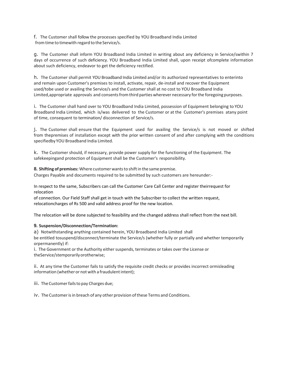f. The Customer shall follow the processes specified by YOU Broadband India Limited from time to timewith regard to the Service/s.

g. The Customer shall inform YOU Broadband India Limited in writing about any deficiency in Service/swithin 7 days of occurrence of such deficiency. YOU Broadband India Limited shall, upon receipt ofcomplete information about such deficiency, endeavor to get the deficiency rectified.

h. The Customer shall permit YOU Broadband India Limited and/or its authorized representatives to enterinto and remain upon Customer's premises to install, activate, repair, de-install and recover the Equipment used/tobe used or availing the Service/s and the Customer shall at no cost to YOU Broadband India Limited,appropriate approvals and consents from third parties wherever necessary for the foregoing purposes.

i. The Customer shall hand over to YOU Broadband India Limited, possession of Equipment belonging to YOU Broadband India Limited, which is/was delivered to the Customer or at the Customer's premises atany point of time, consequent to termination/ disconnection of Service/s.

j. The Customer shall ensure that the Equipment used for availing the Service/s is not moved or shifted from thepremises of installation except with the prior written consent of and after complying with the conditions specifiedby YOU Broadband India Limited.

k. The Customer should, if necessary, provide power supply for the functioning of the Equipment. The safekeepingand protection of Equipment shall be the Customer's responsibility.

**8. Shifting of premises:** Where customer wants to shift in the same premise.

Charges Payable and documents required to be submitted by such customers are hereunder:-

In respect to the same, Subscribers can call the Customer Care Call Center and register theirrequest for relocation

of connection. Our Field Staff shall get in touch with the Subscriber to collect the written request, relocationcharges of Rs 500 and valid address proof for the new location.

The relocation will be done subjected to feasibility and the changed address shall reflect from the next bill.

### **9. Suspension/Disconnection/Termination:**

a) Notwithstanding anything contained herein, YOU Broadband India Limited shall be entitled tosuspend/disconnect/terminate the Service/s (whether fully or partially and whether temporarily

orpermanently) if: i. The Government or the Authority either suspends, terminates or takes over the License or theService/stemporarily orotherwise;

ii. At any time the Customer fails to satisfy the requisite credit checks or provides incorrect ormisleading information (whether or not with a fraudulent intent);

iii. The Customer fails to pay Charges due;

iv. The Customer isin breach of any other provision of these Terms and Conditions.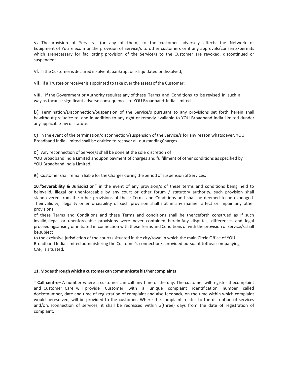v. The provision of Service/s (or any of them) to the customer adversely affects the Network or Equipment of YouTelecom or the provision of Service/s to other customers or if any approvals/consents/permits which arenecessary for facilitating provision of the Service/s to the Customer are revoked, discontinued or suspended;

vi. If the Customer is declared insolvent, bankrupt or is liquidated or dissolved;

vii. If a Trustee or receiver is appointed to take over the assets of the Customer;

viii. If the Government or Authority requires any of these Terms and Conditions to be revised in such a way as tocause significant adverse consequences to YOU Broadband India Limited.

b) Termination/Disconnection/Suspension of the Service/s pursuant to any provisions set forth herein shall bewithout prejudice to, and in addition to any right or remedy available to YOU Broadband India Limited dunder any applicable law or statute.

c) In the event of the termination/disconnection/suspension of the Service/s for any reason whatsoever, YOU Broadband India Limited shall be entitled to recover all outstandingCharges.

d) Any reconnection of Service/s shall be done at the sole discretion of

YOU Broadband India Limited andupon payment of charges and fulfillment of other conditions as specified by YOU Broadband India Limited.

e) Customer shall remain liable for the Charges during the period of suspension of Services.

**10**.**"Severability & Jurisdiction"** in the event of any provision/s of these terms and conditions being held to beinvalid, illegal or unenforceable by any court or other forum / statutory authority, such provision shall standsevered from the other provisions of these Terms and Conditions and shall be deemed to be expunged. Theinvalidity, illegality or enforceability of such provision shall not in any manner affect or impair any other provisions

of these Terms and Conditions and these Terms and conditions shall be thenceforth construed as if such invalid,illegal or unenforceable provisions were never contained herein.Any disputes, differences and legal proceedingsarising or initiated in connection with these Terms and Conditions or with the provision of Service/s shall be subject

to the exclusive jurisdiction of the court/s situated in the city/town in which the main Circle Office of YOU Broadband India Limited administering the Customer's connection/s provided pursuant totheaccompanying CAF, is situated.

#### **11.Modes through which a customer can communicate his/her complaints**

˜ **Call centre**– A number where a customer can call any time of the day. The customer will register thecomplaint and Customer Care will provide Customer with a unique complaint identification number called docketnumber, date and time of registration of complaint and also feedback, on the time within which complaint would beresolved, will be provided to the customer. Where the complaint relates to the disruption of services and/ordisconnection of services, it shall be redressed within 3(three) days from the date of registration of complaint.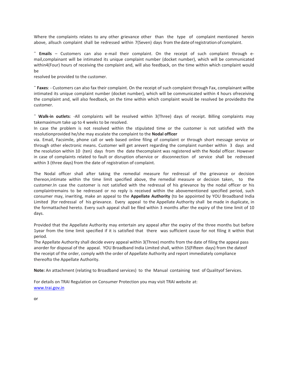Where the complaints relates to any other grievance other than the type of complaint mentioned herein above, allsuch complaint shall be redressed within 7(Seven) days from thedate ofregistration of complaint.

˜ **Emails** – Customers can also e-mail their complaint. On the receipt of such complaint through email,complainant will be intimated its unique complaint number (docket number), which will be communicated within4(Four) hours of receiving the complaint and, will also feedback, on the time within which complaint would be

resolved be provided to the customer.

˜ **Faxes**: - Customers can also fax their complaint. On the receipt of such complaint through Fax, complainant willbe intimated its unique complaint number (docket number), which will be communicated within 4 hours ofreceiving the complaint and, will also feedback, on the time within which complaint would be resolved be providedto the customer.

˜ **Walk-in outlets**: -All complaints will be resolved within 3(Three) days of receipt. Billing complaints may takemaximum take up to 4 weeks to be resolved.

In case the problem is not resolved within the stipulated time or the customer is not satisfied with the resolutionprovided he/she may escalate the complaint to the **Nodal officer**

via. Email, Facsimile, phone call or web based online filing of complaint or through short message service or through other electronic means. Customer will get arevert regarding the complaint number within 3 days and the resolution within 10 (ten) days from the date thecomplaint was registered with the Nodal officer. However in case of complaints related to fault or disruption ofservice or disconnection of service shall be redressed within 3 (three days) from the date of registration of complaint.

The Nodal officer shall after taking the remedial measure for redressal of the grievance or decision thereon,intimate within the time limit specified above, the remedial measure or decision taken, to the customer.In case the customer is not satisfied with the redressal of his grievance by the nodal officer or his complaintremains to be redressed or no reply is received within the abovementioned specified period, such consumer may, inwriting, make an appeal to the **Appellate Authority** (to be appointed by YOU Broadband India Limited )for redressal of his grievance. Every appeal to the Appellate Authority shall be made in duplicate, in the formattached hereto. Every such appeal shall be filed within 3 months after the expiry of the time limit of 10 days.

Provided that the Appellate Authority may entertain any appeal after the expiry of the three months but before 1year from the time limit specified if it is satisfied that there was sufficient cause for not filing it within that period.

The Appellate Authority shall decide every appeal within 3(Three) months from the date of filing the appeal pass anorder for disposal of the appeal. YOU Broadband India Limited shall, within 15(Fifteen days) from the dateof the receipt of the order, comply with the order of Appellate Authority and report immediately compliance thereofto the Appellate Authority.

**Note:** An attachment (relating to Broadband services) to the Manual containing text of Qualityof Services.

For details on TRAI Regulation on Consumer Protection you may visit TRAI website at: [www.trai.gov.in](http://www.trai.gov.in/)

#### or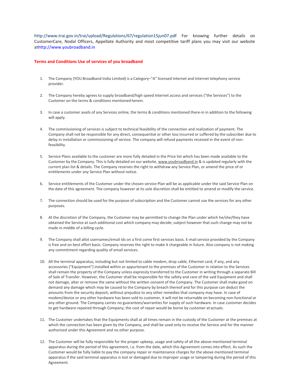<http://www.trai.gov.in/trai/upload/Regulations/67/regulation15jun07.pdf> For knowing further details on CustomerCare, Nodal Officers, Appellate Authority and most competitive tariff plans you may visit our website a[thttp://www.youbroadband.in](http://www.youbroadband.in/)

#### **Terms and Conditions Use of services of you broadband**

- 1. The Company (YOU Broadband India Limited) is a Category–"A" licensed Internet and Internet telephony service provider.
- 2. The Company hereby agrees to supply broadband/high speed Internet access and services ("the Services") to the Customer on the terms & conditions mentioned herein.
- 3. In case a customer avails of any Services online, the terms & conditions mentioned there-in in addition to the following will apply.
- 4. The commissioning of services is subject to technical feasibility of the connection and realization of payment. The Company shall not be responsible for any direct, consequential or other loss incurred or suffered by the subscriber due to delay in installation or commissioning of service. The company will refund payments received in the event of nonfeasibility.
- 5. Service Plans available to the customer are more fully detailed in the Price list which has been made available to the Customer by the Company. This is fully detailed on our website, [www.youbroadband.in](http://www.youbroadband.in/) & is updated regularly with the current plan list & details. The Company reserves the right to withdraw any Service Plan, or amend the price of or entitlements under any Service Plan without notice.
- 6. Service entitlements of the Customer under the chosen service Plan will be as applicable under the said Service Plan on the date of this agreement. The company however at its sole discretion shall be entitled to amend or modify the service.
- 7. The connection should be used for the purpose of subscription and the Customer cannot use the services for any other purposes.
- 8. At the discretion of the Company, the Customer may be permitted to change the Plan under which he/she/they have obtained the Service at such additional cost which company may decide; subject however that such change may not be made in middle of a billing cycle.
- 9. The Company shall allot usernames/email ids on a first come first services basis. E-mail service provided by the Company is free and on best effort basis. Company reserves the right to make it chargeable in future. Also company is not making any commitment regarding quality of email services.
- 10. All the terminal apparatus, including but not limited to cable modem, drop cable, Ethernet card, if any, and any accessories ("Equipment") installed within or appurtenant to the premises of the Customer in relation to the Services shall remain the property of the Company unless expressly transferred to the Customer in writing through a separate Bill of Sale of Transfer. However, the Customer shall be responsible for the safety and care of the said Equipment and shall not damage, alter or remove the same without the written consent of the Company. The Customer shall make good on demand any damage which may be caused to the Company by breach thereof and for this purpose can deduct the amounts from the security deposit, without prejudice to any other remedies that company may have. In case of modem/device or any other hardware has been sold to customer, it will not be returnable on becoming non-functional or any other ground. The Company carries no guarantees/warranties for supply of such hardware. In case customer decides to get hardware repaired through Company, the cost of repair would be borne by customer at actuals.
- 11. The Customer undertakes that the Equipments shall at all times remain in the custody of the Customer at the premises at which the connection has been given by the Company, and shall be used only to receive the Service and for the manner authorized under this Agreement and no other purpose.
- 12. The Customer will be fully responsible for the proper upkeep, usage and safety of all the above-mentioned terminal apparatus during the period of this agreement, i.e. from the date, which this Agreement comes into effect. As such the Customer would be fully liable to pay the company repair or maintenance charges for the above mentioned terminal apparatus if the said terminal apparatus is lost or damaged due to improper usage or tampering during the period of this Agreement.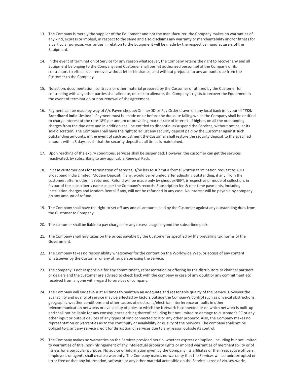- 13. The Company is merely the supplier of the Equipment and not the manufacturer, the Company makes no warranties of any kind, express or implied, in respect to the same and also disclaims any warranty or merchantability and/or fitness for a particular purpose, warranties in relation to the Equipment will be made by the respective manufacturers of the Equipment.
- 14. In the event of termination of Service for any reason whatsoever, the Company retains the right to recover any and all Equipment belonging to the Company; and Customer shall permit authorized personnel of the Company or its contractors to effect such removal without let or hindrance, and without prejudice to any amounts due from the Customer to the Company.
- 15. No action, documentation, contracts or other material prepared by the Customer or utilized by the Customer for contracting with any other parties shall alienate, or seek to alienate, the Company's rights to recover the Equipment in the event of termination or non-renewal of the agreement.
- 16. Payment can be made by way of A/c Payee cheque/Online/DD or Pay Order drawn on any local bank in favour of **"YOU Broadband India Limited"**. Payment must be made on or before the due date failing which the Company shall be entitled to charge interest at the rate 18% per annum or prevailing market rate of interest, if higher, on all the outstanding charges from the due date and in addition shall be entitled to discontinue/suspend the Services, without notice, at its sole discretion, The Company shall have the right to adjust any security deposit paid by the Customer against such outstanding amounts, in the event of such adjustment the Customer shall restore the security deposit to the specified amount within 3 days, such that the security deposit at all times is maintained.
- 17. Upon reaching of the expiry conditions, services shall be suspended. However, the customer can get the services reactivated, by subscribing to any applicable Renewal Pack.
- 18. In case customer opts for termination of services, s/he has to submit a formal written termination request to YOU Broadband India Limited. Modem Deposit, if any, would be refunded after adjusting outstanding, if any, from the customer, after modern is returned. Refund will be made only by cheque/NEFT, irrespective of mode of collection, in favour of the subscriber's name as per the Company's records. Subscription fee & one-time payments, including installation charges and Modem Rental if any, will not be refunded in any case. No interest will be payable by company on any amount of refund.
- 19. The Company shall have the right to set off any and all amounts paid by the Customer against any outstanding dues from the Customer to Company.
- 20. The customer shall be liable to pay charges for any excess usage beyond the subscribed pack.
- 21. The Company shall levy taxes on the prices payable by the Customer as specified by the prevailing tax norms of the Government.
- 22. The Company takes no responsibility whatsoever for the content on the Worldwide Web, or access of any content whatsoever by the Customer or any other person using the Service.
- 23. The company is not responsible for any commitment, representation or offering by the distributors or channel partners or dealers and the customer are advised to check back with the company in case of any doubt or any commitment etc received from anyone with regard to services of company.
- 24. The Company will endeavour at all times to maintain an adequate and reasonable quality of the Service. However the availability and quality of service may be affected by factors outside the Company's control such as physical obstructions, geographic weather conditions and other causes of electronic/electrical interference or faults in other telecommunication networks or availability of poles to which the Network is connected or on which network is built-up and shall not be liable for any consequences arising thereof including but not limited to damage to customer's PC or any other input or output devices of any types of kind connected to it or any other property. Also, the Company makes no representation or warranties as to the continuity or availability or quality of the Services. The company shall not be obliged to grant any service credit for disruption of services due to any reason outside its control.
- 25. The Company makes no warranties on the Services provided herein, whether express or implied, including but not limited to warranties of title, non-infringement of any intellectual property rights or implied warranties of merchantability or of fitness for a particular purpose. No advice or information given by the Company, its affiliates or their respective officers, employees or agents shall create a warranty. The Company makes no warranty that the Services will be uninterrupted or error free or that any information, software or any other material accessible on the Service is tree of viruses, works,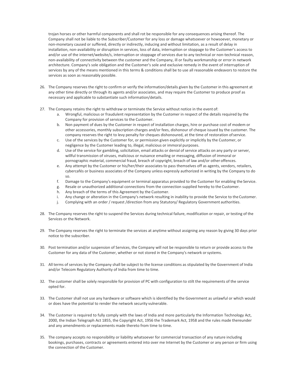trojan horses or other harmful components and shall rot be responsible for any consequences arising thereof. The Company shall not be liable to the Subscriber/Customer for any loss or damage whatsoever or howsoever, monetary or non-monetary caused or suffered, directly or indirectly, inducing and without limitation, as a result of delay in installation, non-availability or disruption in services, loss of data, interruption or stoppage to the Customer's access to and/or use of the internet/website/s, interruption or stoppage of services due to any technical or non-technical reason, non-availability of connectivity between the customer and the Company, ill or faulty workmanship or error in network architecture. Company's sole obligation and the Customer's sole and exclusive remedy in the event of interruption of services by any of the means mentioned in this terms & conditions shall be to use all reasonable endeavors to restore the services as soon as reasonably possible.

- 26. The Company reserves the right to confirm or verify the information/details given by the Customer in this agreement at any other time directly or through its agents and/or associates, and may require the Customer to produce proof as necessary and applicable to substantiate such information/details.
- 27. The Company retains the right to withdraw or terminate the Service without notice in the event of:
	- a. Wrongful, malicious or fraudulent representation by the Customer in respect of the details required by the Company for provision of services to the Customer.
	- b. Non payment of dues by the Customer in respect of installation charges, hire or purchase cost of modem or other accessories, monthly subscription charges and/or fees, dishonour of cheque issued by the customer. The company reserves the right to levy penalty for cheques dishonoured, at the time of restoration ofservice.
	- c. Use of the services by the Customer for, or permission given explicitly or implicitly by the Customer, or negligence by the Customer leading to, illegal, malicious or immoral purposes.
	- d. Use of the service for gambling, solicitation, email attacks or denial of service attacks on any party or server, willful transmission of viruses, malicious or nuisance emailing or messaging, diffusion of immoral or pornographic material, commercial fraud, breach of copyright, breach of law and/or other offences.
	- e. Any attempt by the Customer or his/her/their associates to pass themselves off as agents, vendors, retailers, cybercafés or business associates of the Company unless expressly authorized in writing by the Company to do so.
	- f. Damage to the Company's equipment or terminal apparatus provided to the Customer for enabling the Service.
	- g. Resale or unauthorized additional connections from the connection supplied hereby to the Customer.
	- h. Any breach of the terms of this Agreement by the Customer.
	- i. Any change or alteration in the Company's network resulting in inability to provide the Service to the Customer.
	- j. Complying with an order / request /direction from any Statutory/ Regulatory Government authorities.
- 28. The Company reserves the right to suspend the Services during technical failure, modification or repair, or testing of the Services or the Network.
- 29. The Company reserves the right to terminate the services at anytime without assigning any reason by giving 30 days prior notice to the subscriber.
- 30. Post termination and/or suspension of Services, the Company will not be responsible to return or provide access to the Customer for any data of the Customer, whether or not stored in the Company's network orsystems.
- 31. All terms of services by the Company shall be subject to the license conditions as stipulated by the Government of India and/or Telecom Regulatory Authority of India from time to time.
- 32. The customer shall be solely responsible for provision of PC with configuration to stilt the requirements of the service opted for.
- 33. The Customer shall not use any hardware or software which is identified by the Government as unlawful or which would or does have the potential to render the network security vulnerable.
- 34. The Customer is required to fully comply with the laws of India and more particularly the Information Technology Act, 2000, the Indian Telegraph Act 1855, the Copyright Act, 1956 the Trademark Act, 1958 and the rules made thereunder and any amendments or replacements made thereto from time to time.
- 35. The company accepts no responsibility or liability whatsoever for commercial transaction of any nature including bookings, purchases, contracts or agreements entered into over me Internet by the Customer or any person or firm using the connection of the Customer.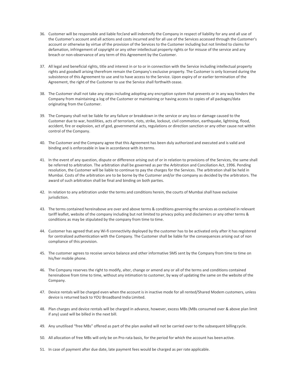- 36. Customer will be responsible and liable for/and will indemnify the Company in respect of liability for any and all use of the Customer's account and all actions and costs incurred and for all use of the Services accessed through the Customer's account or otherwise by virtue of the provision of the Services to the Customer including but not limited to claims for defamation, infringement of copyright or any other intellectual property rights or for misuse of the service and any breach or non-observance of any term of this Agreement by the Customer.
- 37. All legal and beneficial rights, title and interest in or to or in connection with the Service including intellectual property rights and goodwill arising therefrom remain the Company's exclusive property. The Customer is only licensed during the subsistence of this Agreement to use and to have access to the Service. Upon expiry of or earlier termination of the Agreement, the right of the Customer to use the Service shall forthwith cease.
- 38. The Customer shall not take any steps including adopting any encryption system that prevents or in any way hinders the Company from maintaining a log of the Customer or maintaining or having access to copies of all packages/data originating from the Customer.
- 39. The Company shall not be liable for any failure or breakdown in the service or any loss or damage caused to the Customer due to war, hostilities, acts of terrorism, riots, strike, lockout, civil commotion, earthquake, lightning, flood, accident, fire or explosion, act of god, governmental acts, regulations or direction sanction or any other cause not within control of the Company.
- 40. The Customer and the Company agree that this Agreement has been duly authorized and executed and is valid and binding and is enforceable in law in accordance with its terms.
- 41. In the event of any question, dispute or difference arising out of or in relation to provisions of the Services, the same shall be referred to arbitration. The arbitration shall be governed as per the Arbitration and Conciliation Act, 1996. Pending resolution, the Customer will be liable to continue to pay the charges for the Services. The arbitration shall be held in Mumbai. Costs of the arbitration are to be borne by the Customer and/or the company as decided by the arbitrators. The award of such arbitration shall be final and binding on both parties.
- 42. In relation to any arbitration under the terms and conditions herein, the courts of Mumbai shall have exclusive jurisdiction.
- 43. The terms contained hereinabove are over and above terms & conditions governing the services as contained in relevant tariff leaflet, website of the company including but not limited to privacy policy and disclaimers or any other terms & conditions as may be stipulated by the company from time to time.
- 44. Customer has agreed that any Wi-fi connectivity deployed by the customer has to be activated only after it has registered for centralized authentication with the Company. The Customer shall be liable for the consequences arising out of non compliance of this provision.
- 45. The customer agrees to receive service balance and other informative SMS sent by the Company from time to time on his/her mobile phone.
- 46. The Company reserves the right to modify, alter, change or amend any or all of the terms and conditions contained hereinabove from time to time, without any intimation to customer, by way of updating the same on the website of the Company.
- 47. Device rentals will be charged even when the account is in inactive mode for all rented/Shared Modem customers, unless device is returned back to YOU Broadband India Limited.
- 48. Plan charges and device rentals will be charged in advance, however, excess MBs (MBs consumed over & above plan limit if any) used will be billed in the next bill.
- 49. Any unutilised "free MBs" offered as part of the plan availed will not be carried over to the subsequent billing cycle.
- 50. All allocation of free MBs will only be on Pro-rata basis, for the period for which the account has been active.
- 51. In case of payment after due date, late payment fees would be charged as per rate applicable.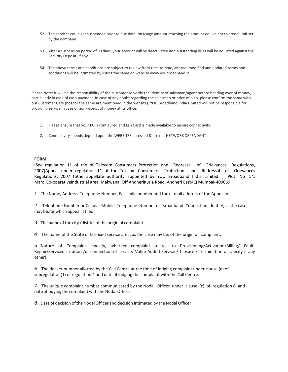- 52. The services could get suspended prior to due date, on usage amount reaching the amount equivalent to credit limit set by the company.
- 53. After a suspension period of 90 days, your account will be deactivated and outstanding dues will be adjusted against the Security Deposit, if any.
- 54. The above terms and conditions are subject to review from time to time, altered, modified and updated terms and conditions will be intimated by listing the same on websit[e www.youbroadband.in](http://www.youbroadband.in/)

Please Note: It will be the responsibility of the customer to verify the identity of salesman/agent before handing over of money, particularly in case of cash payment. In case of any doubt regarding the salesman or price of plan, please confirm the same with our Customer Care (nos for the same are mentioned in the website). YOU Broadband India Limited will not be responsible for providing service in case of non-receipt of money at its office.

- 1. Please ensure that your PC is configured and Lan Card is made available to ensure connectivity.
- 2. Connectivity speeds depend upon the WEBSITES accessed & are not NETWORK DEPENDANT.

#### **FORM**

(See regulation 11 of the of Telecom Consumers Protection and Redressal of Grievances Regulations, 2007}Appeal under regulation 11 of the Telecom Consumers Protection and Redressal of Grievances Regulations, 2007 tothe appellate authority appointed by YOU Broadband India Limited , Plot No 54, Marol Co-operativeindustrial area, Makwana, Off AndheriKurla Road, Andheri East-(E) Mumbai- 400059

1. The Name, Address, Telephone Number, Facsimile number and the e- mail address of the Appellant.

2. Telephone Number or Cellular Mobile Telephone Number or Broadband Connection Identity, as the case may be,for which appeal is filed

3. The name of the city /district of the origin of complaint

4. The name of the State or licensed service area, as the case may be, of the origin of complaint.

5. Nature of Complaint (specify, whether complaint relates to Provisioning/Activation/Billing/ Fault-Repair/Servicedisruption /disconnection of service/ Value Added Service / Closure / Termination or specify if any other).

6. The docket number allotted by the Call Centre at the time of lodging complaint under clause (a) of subregulation(1) of regulation 4 and date of lodging the complaint with the Call Centre.

7. The unique complaint number communicated by the Nodal Officer under clause (c) of regulation 8, and date oflodging the complaint with the Nodal Officer.

8. Date of decision of the Nodal Officer and decision intimated by the Nodal Officer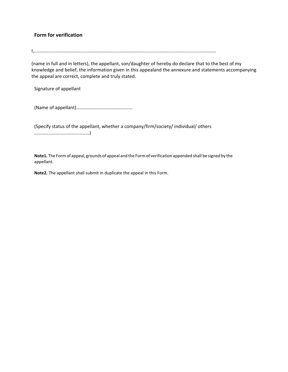# **Form for verification**

I,………………………………………………………………………………………………………………………………………

(name in full and in letters), the appellant, son/daughter of hereby do declare that to the best of my knowledge and belief, the information given in this appealand the annexure and statements accompanying the appeal are correct, complete and truly stated.

Signature of appellant

(Name of appellant)………………………………………..

(Specify status of the appellant, whether a company/firm/society/ individual/ others ………………………………..……..)

**Note1.** The Form of appeal, grounds of appeal and the Form of verification appended shall be signed by the appellant.

**Note2.** The appellant shall submit in duplicate the appeal in this Form.